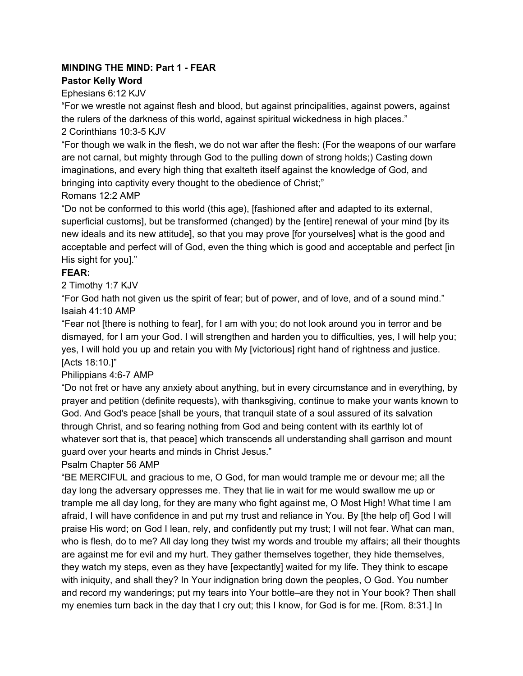# **MINDING THE MIND: Part 1 FEAR**

## **Pastor Kelly Word**

Ephesians 6:12 KJV

"For we wrestle not against flesh and blood, but against principalities, against powers, against the rulers of the darkness of this world, against spiritual wickedness in high places." 2 Corinthians 10:3-5 KJV

"For though we walk in the flesh, we do not war after the flesh: (For the weapons of our warfare are not carnal, but mighty through God to the pulling down of strong holds;) Casting down imaginations, and every high thing that exalteth itself against the knowledge of God, and bringing into captivity every thought to the obedience of Christ;"

# Romans 12:2 AMP

"Do not be conformed to this world (this age), [fashioned after and adapted to its external, superficial customs], but be transformed (changed) by the [entire] renewal of your mind [by its new ideals and its new attitude], so that you may prove [for yourselves] what is the good and acceptable and perfect will of God, even the thing which is good and acceptable and perfect [in His sight for you]."

# **FEAR:**

2 Timothy 1:7 KJV

"For God hath not given us the spirit of fear; but of power, and of love, and of a sound mind." Isaiah 41:10 AMP

"Fear not [there is nothing to fear], for I am with you; do not look around you in terror and be dismayed, for I am your God. I will strengthen and harden you to difficulties, yes, I will help you; yes, I will hold you up and retain you with My [victorious] right hand of rightness and justice. [Acts 18:10.]"

# Philippians 4:6-7 AMP

"Do not fret or have any anxiety about anything, but in every circumstance and in everything, by prayer and petition (definite requests), with thanksgiving, continue to make your wants known to God. And God's peace [shall be yours, that tranquil state of a soul assured of its salvation through Christ, and so fearing nothing from God and being content with its earthly lot of whatever sort that is, that peace] which transcends all understanding shall garrison and mount guard over your hearts and minds in Christ Jesus."

# Psalm Chapter 56 AMP

"BE MERCIFUL and gracious to me, O God, for man would trample me or devour me; all the day long the adversary oppresses me. They that lie in wait for me would swallow me up or trample me all day long, for they are many who fight against me, O Most High! What time I am afraid, I will have confidence in and put my trust and reliance in You. By [the help of] God I will praise His word; on God I lean, rely, and confidently put my trust; I will not fear. What can man, who is flesh, do to me? All day long they twist my words and trouble my affairs; all their thoughts are against me for evil and my hurt. They gather themselves together, they hide themselves, they watch my steps, even as they have [expectantly] waited for my life. They think to escape with iniquity, and shall they? In Your indignation bring down the peoples, O God. You number and record my wanderings; put my tears into Your bottle–are they not in Your book? Then shall my enemies turn back in the day that I cry out; this I know, for God is for me. [Rom. 8:31.] In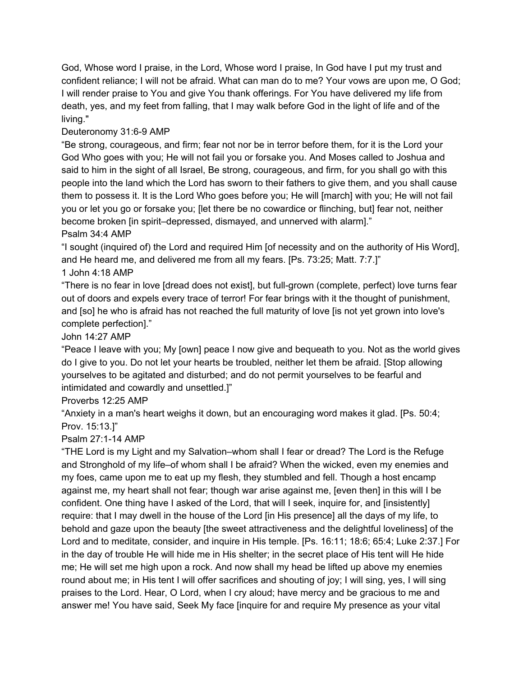God, Whose word I praise, in the Lord, Whose word I praise, In God have I put my trust and confident reliance; I will not be afraid. What can man do to me? Your vows are upon me, O God; I will render praise to You and give You thank offerings. For You have delivered my life from death, yes, and my feet from falling, that I may walk before God in the light of life and of the living."

### Deuteronomy 31:6-9 AMP

"Be strong, courageous, and firm; fear not nor be in terror before them, for it is the Lord your God Who goes with you; He will not fail you or forsake you. And Moses called to Joshua and said to him in the sight of all Israel, Be strong, courageous, and firm, for you shall go with this people into the land which the Lord has sworn to their fathers to give them, and you shall cause them to possess it. It is the Lord Who goes before you; He will [march] with you; He will not fail you or let you go or forsake you; [let there be no cowardice or flinching, but] fear not, neither become broken [in spirit–depressed, dismayed, and unnerved with alarm]."

Psalm 34:4 AMP

"I sought (inquired of) the Lord and required Him [of necessity and on the authority of His Word], and He heard me, and delivered me from all my fears. [Ps. 73:25; Matt. 7:7.]"

1 John 4:18 AMP

"There is no fear in love [dread does not exist], but full-grown (complete, perfect) love turns fear out of doors and expels every trace of terror! For fear brings with it the thought of punishment, and [so] he who is afraid has not reached the full maturity of love [is not yet grown into love's complete perfection]."

John 14:27 AMP

"Peace I leave with you; My [own] peace I now give and bequeath to you. Not as the world gives do I give to you. Do not let your hearts be troubled, neither let them be afraid. [Stop allowing yourselves to be agitated and disturbed; and do not permit yourselves to be fearful and intimidated and cowardly and unsettled.]"

Proverbs 12:25 AMP

"Anxiety in a man's heart weighs it down, but an encouraging word makes it glad. [Ps. 50:4; Prov. 15:13.]"

Psalm 27:1-14 AMP

"THE Lord is my Light and my Salvation–whom shall I fear or dread? The Lord is the Refuge and Stronghold of my life–of whom shall I be afraid? When the wicked, even my enemies and my foes, came upon me to eat up my flesh, they stumbled and fell. Though a host encamp against me, my heart shall not fear; though war arise against me, [even then] in this will I be confident. One thing have I asked of the Lord, that will I seek, inquire for, and [insistently] require: that I may dwell in the house of the Lord [in His presence] all the days of my life, to behold and gaze upon the beauty [the sweet attractiveness and the delightful loveliness] of the Lord and to meditate, consider, and inquire in His temple. [Ps. 16:11; 18:6; 65:4; Luke 2:37.] For in the day of trouble He will hide me in His shelter; in the secret place of His tent will He hide me; He will set me high upon a rock. And now shall my head be lifted up above my enemies round about me; in His tent I will offer sacrifices and shouting of joy; I will sing, yes, I will sing praises to the Lord. Hear, O Lord, when I cry aloud; have mercy and be gracious to me and answer me! You have said, Seek My face [inquire for and require My presence as your vital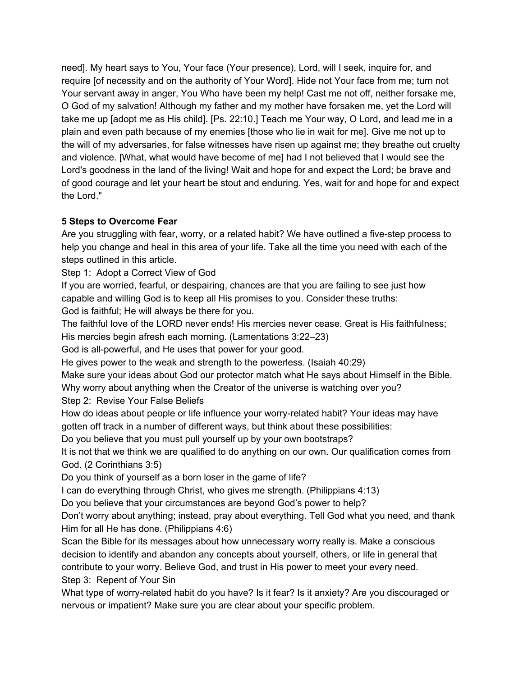need]. My heart says to You, Your face (Your presence), Lord, will I seek, inquire for, and require [of necessity and on the authority of Your Word]. Hide not Your face from me; turn not Your servant away in anger, You Who have been my help! Cast me not off, neither forsake me, O God of my salvation! Although my father and my mother have forsaken me, yet the Lord will take me up [adopt me as His child]. [Ps. 22:10.] Teach me Your way, O Lord, and lead me in a plain and even path because of my enemies [those who lie in wait for me]. Give me not up to the will of my adversaries, for false witnesses have risen up against me; they breathe out cruelty and violence. [What, what would have become of me] had I not believed that I would see the Lord's goodness in the land of the living! Wait and hope for and expect the Lord; be brave and of good courage and let your heart be stout and enduring. Yes, wait for and hope for and expect the Lord."

# **5 Steps to Overcome Fear**

Are you struggling with fear, worry, or a related habit? We have outlined a five-step process to help you change and heal in this area of your life. Take all the time you need with each of the steps outlined in this article.

Step 1: Adopt a Correct View of God

If you are worried, fearful, or despairing, chances are that you are failing to see just how capable and willing God is to keep all His promises to you. Consider these truths: God is faithful; He will always be there for you.

The faithful love of the LORD never ends! His mercies never cease. Great is His faithfulness; His mercies begin afresh each morning. (Lamentations 3:22–23)

God is all-powerful, and He uses that power for your good.

He gives power to the weak and strength to the powerless. (Isaiah 40:29)

Make sure your ideas about God our protector match what He says about Himself in the Bible. Why worry about anything when the Creator of the universe is watching over you?

Step 2: Revise Your False Beliefs

How do ideas about people or life influence your worry-related habit? Your ideas may have gotten off track in a number of different ways, but think about these possibilities:

Do you believe that you must pull yourself up by your own bootstraps?

It is not that we think we are qualified to do anything on our own. Our qualification comes from God. (2 Corinthians 3:5)

Do you think of yourself as a born loser in the game of life?

I can do everything through Christ, who gives me strength. (Philippians 4:13)

Do you believe that your circumstances are beyond God's power to help?

Don't worry about anything; instead, pray about everything. Tell God what you need, and thank Him for all He has done. (Philippians 4:6)

Scan the Bible for its messages about how unnecessary worry really is. Make a conscious decision to identify and abandon any concepts about yourself, others, or life in general that contribute to your worry. Believe God, and trust in His power to meet your every need. Step 3: Repent of Your Sin

What type of worry-related habit do you have? Is it fear? Is it anxiety? Are you discouraged or nervous or impatient? Make sure you are clear about your specific problem.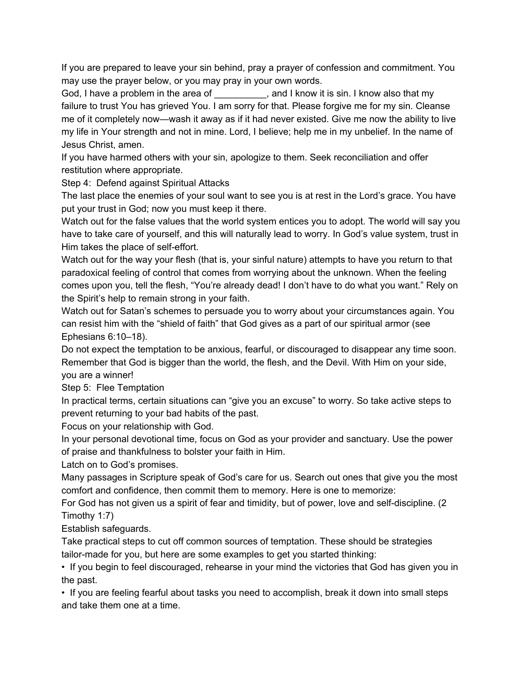If you are prepared to leave your sin behind, pray a prayer of confession and commitment. You may use the prayer below, or you may pray in your own words.

God, I have a problem in the area of \_\_\_\_\_\_\_\_\_, and I know it is sin. I know also that my failure to trust You has grieved You. I am sorry for that. Please forgive me for my sin. Cleanse me of it completely now—wash it away as if it had never existed. Give me now the ability to live my life in Your strength and not in mine. Lord, I believe; help me in my unbelief. In the name of Jesus Christ, amen.

If you have harmed others with your sin, apologize to them. Seek reconciliation and offer restitution where appropriate.

Step 4: Defend against Spiritual Attacks

The last place the enemies of your soul want to see you is at rest in the Lord's grace. You have put your trust in God; now you must keep it there.

Watch out for the false values that the world system entices you to adopt. The world will say you have to take care of yourself, and this will naturally lead to worry. In God's value system, trust in Him takes the place of self-effort.

Watch out for the way your flesh (that is, your sinful nature) attempts to have you return to that paradoxical feeling of control that comes from worrying about the unknown. When the feeling comes upon you, tell the flesh, "You're already dead! I don't have to do what you want." Rely on the Spirit's help to remain strong in your faith.

Watch out for Satan's schemes to persuade you to worry about your circumstances again. You can resist him with the "shield of faith" that God gives as a part of our spiritual armor (see Ephesians 6:10–18).

Do not expect the temptation to be anxious, fearful, or discouraged to disappear any time soon. Remember that God is bigger than the world, the flesh, and the Devil. With Him on your side, you are a winner!

Step 5: Flee Temptation

In practical terms, certain situations can "give you an excuse" to worry. So take active steps to prevent returning to your bad habits of the past.

Focus on your relationship with God.

In your personal devotional time, focus on God as your provider and sanctuary. Use the power of praise and thankfulness to bolster your faith in Him.

Latch on to God's promises.

Many passages in Scripture speak of God's care for us. Search out ones that give you the most comfort and confidence, then commit them to memory. Here is one to memorize:

For God has not given us a spirit of fear and timidity, but of power, love and self-discipline. (2) Timothy 1:7)

Establish safeguards.

Take practical steps to cut off common sources of temptation. These should be strategies tailor-made for you, but here are some examples to get you started thinking:

• If you begin to feel discouraged, rehearse in your mind the victories that God has given you in the past.

• If you are feeling fearful about tasks you need to accomplish, break it down into small steps and take them one at a time.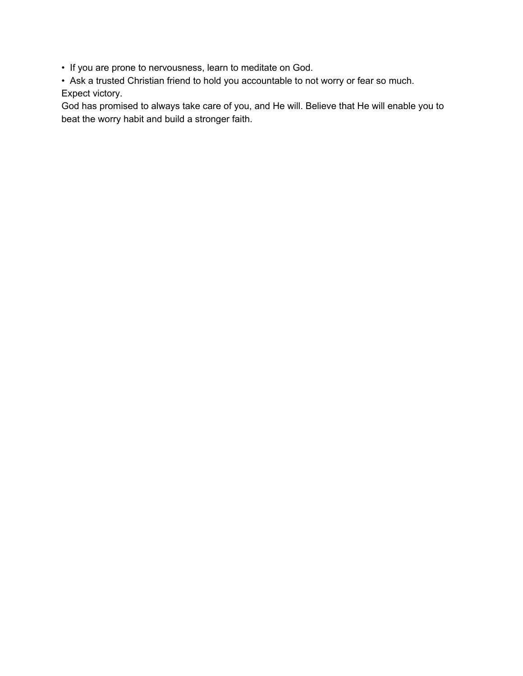- If you are prone to nervousness, learn to meditate on God.
- Ask a trusted Christian friend to hold you accountable to not worry or fear so much.
- Expect victory.

God has promised to always take care of you, and He will. Believe that He will enable you to beat the worry habit and build a stronger faith.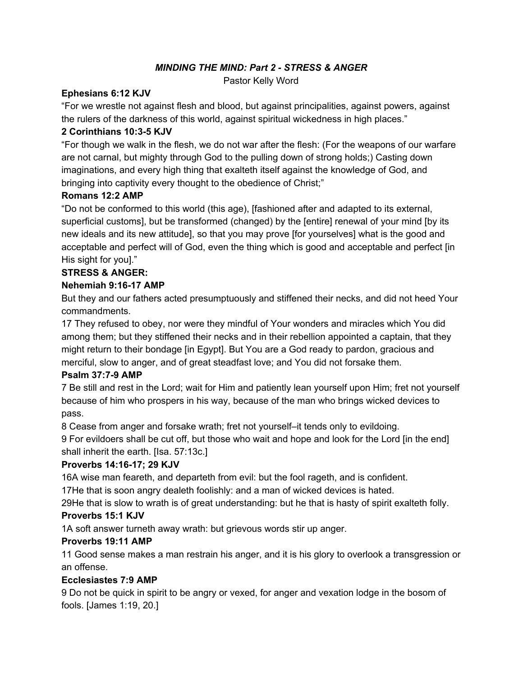# *MINDING THE MIND: Part 2 STRESS & ANGER*

Pastor Kelly Word

### **Ephesians 6:12 KJV**

"For we wrestle not against flesh and blood, but against principalities, against powers, against the rulers of the darkness of this world, against spiritual wickedness in high places."

### **2 Corinthians 10:35 KJV**

"For though we walk in the flesh, we do not war after the flesh: (For the weapons of our warfare are not carnal, but mighty through God to the pulling down of strong holds;) Casting down imaginations, and every high thing that exalteth itself against the knowledge of God, and bringing into captivity every thought to the obedience of Christ;"

### **Romans 12:2 AMP**

"Do not be conformed to this world (this age), [fashioned after and adapted to its external, superficial customs], but be transformed (changed) by the [entire] renewal of your mind [by its new ideals and its new attitude], so that you may prove [for yourselves] what is the good and acceptable and perfect will of God, even the thing which is good and acceptable and perfect [in His sight for you]."

### **STRESS & ANGER:**

### **Nehemiah 9:1617 AMP**

But they and our fathers acted presumptuously and stiffened their necks, and did not heed Your commandments.

17 They refused to obey, nor were they mindful of Your wonders and miracles which You did among them; but they stiffened their necks and in their rebellion appointed a captain, that they might return to their bondage [in Egypt]. But You are a God ready to pardon, gracious and merciful, slow to anger, and of great steadfast love; and You did not forsake them.

### **Psalm 37:79 AMP**

7 Be still and rest in the Lord; wait for Him and patiently lean yourself upon Him; fret not yourself because of him who prospers in his way, because of the man who brings wicked devices to pass.

8 Cease from anger and forsake wrath; fret not yourself–it tends only to evildoing.

9 For evildoers shall be cut off, but those who wait and hope and look for the Lord [in the end] shall inherit the earth. [Isa. 57:13c.]

### **Proverbs 14:1617; 29 KJV**

16A wise man feareth, and departeth from evil: but the fool rageth, and is confident. 17He that is soon angry dealeth foolishly: and a man of wicked devices is hated.

29He that is slow to wrath is of great understanding: but he that is hasty of spirit exalteth folly.

#### **Proverbs 15:1 KJV**

1A soft answer turneth away wrath: but grievous words stir up anger.

### **Proverbs 19:11 AMP**

11 Good sense makes a man restrain his anger, and it is his glory to overlook a transgression or an offense.

### **Ecclesiastes 7:9 AMP**

9 Do not be quick in spirit to be angry or vexed, for anger and vexation lodge in the bosom of fools. [James 1:19, 20.]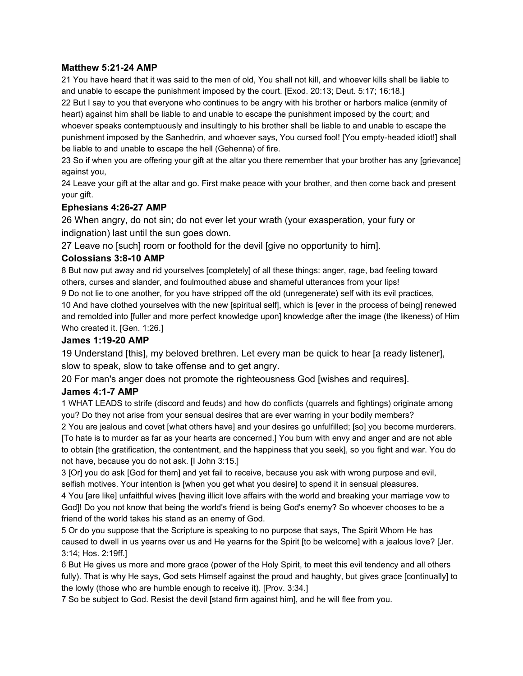#### **Matthew 5:2124 AMP**

21 You have heard that it was said to the men of old, You shall not kill, and whoever kills shall be liable to and unable to escape the punishment imposed by the court. [Exod. 20:13; Deut. 5:17; 16:18.]

22 But I say to you that everyone who continues to be angry with his brother or harbors malice (enmity of heart) against him shall be liable to and unable to escape the punishment imposed by the court; and whoever speaks contemptuously and insultingly to his brother shall be liable to and unable to escape the punishment imposed by the Sanhedrin, and whoever says, You cursed fool! [You emptyheaded idiot!] shall be liable to and unable to escape the hell (Gehenna) of fire.

23 So if when you are offering your gift at the altar you there remember that your brother has any [grievance] against you,

24 Leave your gift at the altar and go. First make peace with your brother, and then come back and present your gift.

#### Ephesians **4:26-27 AMP**

26 When angry, do not sin; do not ever let your wrath (your exasperation, your fury or indignation) last until the sun goes down.

27 Leave no [such] room or foothold for the devil [give no opportunity to him].

#### **Colossians 3:810 AMP**

8 But now put away and rid yourselves [completely] of all these things: anger, rage, bad feeling toward others, curses and slander, and foulmouthed abuse and shameful utterances from your lips!

9 Do not lie to one another, for you have stripped off the old (unregenerate) self with its evil practices, 10 And have clothed yourselves with the new [spiritual self], which is [ever in the process of being] renewed and remolded into [fuller and more perfect knowledge upon] knowledge after the image (the likeness) of Him Who created it. [Gen. 1:26.]

#### **James 1:1920 AMP**

19 Understand [this], my beloved brethren. Let every man be quick to hear [a ready listener], slow to speak, slow to take offense and to get angry.

20 For man's anger does not promote the righteousness God [wishes and requires].

#### **James 4:17 AMP**

1 WHAT LEADS to strife (discord and feuds) and how do conflicts (quarrels and fightings) originate among you? Do they not arise from your sensual desires that are ever warring in your bodily members?

2 You are jealous and covet [what others have] and your desires go unfulfilled; [so] you become murderers. [To hate is to murder as far as your hearts are concerned.] You burn with envy and anger and are not able to obtain [the gratification, the contentment, and the happiness that you seek], so you fight and war. You do not have, because you do not ask. [I John 3:15.]

3 [Or] you do ask [God for them] and yet fail to receive, because you ask with wrong purpose and evil, selfish motives. Your intention is [when you get what you desire] to spend it in sensual pleasures.

4 You [are like] unfaithful wives [having illicit love affairs with the world and breaking your marriage vow to God]! Do you not know that being the world's friend is being God's enemy? So whoever chooses to be a friend of the world takes his stand as an enemy of God.

5 Or do you suppose that the Scripture is speaking to no purpose that says, The Spirit Whom He has caused to dwell in us yearns over us and He yearns for the Spirit [to be welcome] with a jealous love? [Jer. 3:14; Hos. 2:19ff.]

6 But He gives us more and more grace (power of the Holy Spirit, to meet this evil tendency and all others fully). That is why He says, God sets Himself against the proud and haughty, but gives grace [continually] to the lowly (those who are humble enough to receive it). [Prov. 3:34.]

7 So be subject to God. Resist the devil [stand firm against him], and he will flee from you.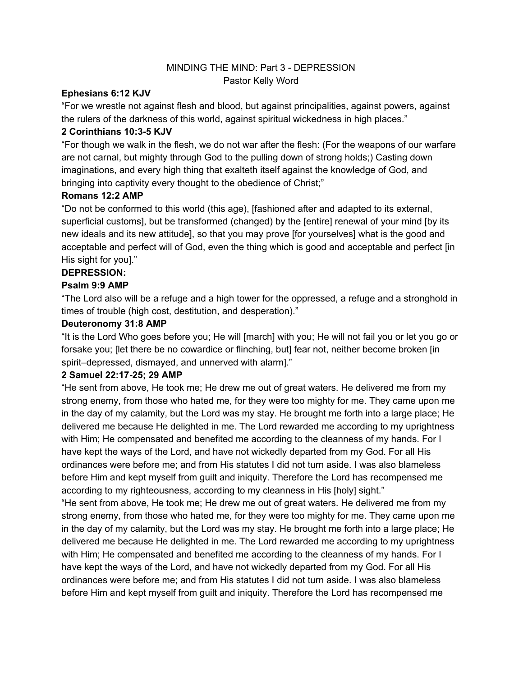### MINDING THE MIND: Part 3 - DEPRESSION Pastor Kelly Word

### **Ephesians 6:12 KJV**

"For we wrestle not against flesh and blood, but against principalities, against powers, against the rulers of the darkness of this world, against spiritual wickedness in high places."

### **2 Corinthians 10:35 KJV**

"For though we walk in the flesh, we do not war after the flesh: (For the weapons of our warfare are not carnal, but mighty through God to the pulling down of strong holds;) Casting down imaginations, and every high thing that exalteth itself against the knowledge of God, and bringing into captivity every thought to the obedience of Christ;"

### **Romans 12:2 AMP**

"Do not be conformed to this world (this age), [fashioned after and adapted to its external, superficial customs], but be transformed (changed) by the [entire] renewal of your mind [by its new ideals and its new attitude], so that you may prove [for yourselves] what is the good and acceptable and perfect will of God, even the thing which is good and acceptable and perfect [in His sight for you]."

### **DEPRESSION:**

### **Psalm 9:9 AMP**

"The Lord also will be a refuge and a high tower for the oppressed, a refuge and a stronghold in times of trouble (high cost, destitution, and desperation)."

### **Deuteronomy 31:8 AMP**

"It is the Lord Who goes before you; He will [march] with you; He will not fail you or let you go or forsake you; [let there be no cowardice or flinching, but] fear not, neither become broken [in spirit–depressed, dismayed, and unnerved with alarm]."

#### **2 Samuel 22:1725; 29 AMP**

"He sent from above, He took me; He drew me out of great waters. He delivered me from my strong enemy, from those who hated me, for they were too mighty for me. They came upon me in the day of my calamity, but the Lord was my stay. He brought me forth into a large place; He delivered me because He delighted in me. The Lord rewarded me according to my uprightness with Him; He compensated and benefited me according to the cleanness of my hands. For I have kept the ways of the Lord, and have not wickedly departed from my God. For all His ordinances were before me; and from His statutes I did not turn aside. I was also blameless before Him and kept myself from guilt and iniquity. Therefore the Lord has recompensed me according to my righteousness, according to my cleanness in His [holy] sight."

"He sent from above, He took me; He drew me out of great waters. He delivered me from my strong enemy, from those who hated me, for they were too mighty for me. They came upon me in the day of my calamity, but the Lord was my stay. He brought me forth into a large place; He delivered me because He delighted in me. The Lord rewarded me according to my uprightness with Him; He compensated and benefited me according to the cleanness of my hands. For I have kept the ways of the Lord, and have not wickedly departed from my God. For all His ordinances were before me; and from His statutes I did not turn aside. I was also blameless before Him and kept myself from guilt and iniquity. Therefore the Lord has recompensed me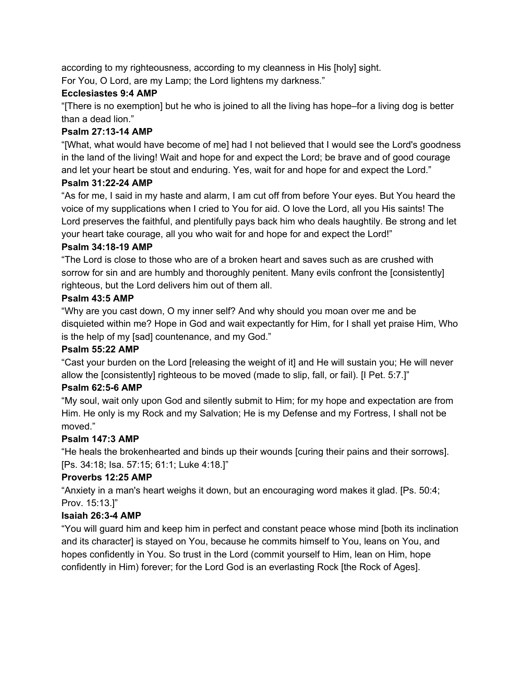according to my righteousness, according to my cleanness in His [holy] sight. For You, O Lord, are my Lamp; the Lord lightens my darkness."

# **Ecclesiastes 9:4 AMP**

"[There is no exemption] but he who is joined to all the living has hope–for a living dog is better than a dead lion."

# **Psalm 27:1314 AMP**

"[What, what would have become of me] had I not believed that I would see the Lord's goodness in the land of the living! Wait and hope for and expect the Lord; be brave and of good courage and let your heart be stout and enduring. Yes, wait for and hope for and expect the Lord."

### **Psalm 31:2224 AMP**

"As for me, I said in my haste and alarm, I am cut off from before Your eyes. But You heard the voice of my supplications when I cried to You for aid. O love the Lord, all you His saints! The Lord preserves the faithful, and plentifully pays back him who deals haughtily. Be strong and let your heart take courage, all you who wait for and hope for and expect the Lord!"

# **Psalm 34:1819 AMP**

"The Lord is close to those who are of a broken heart and saves such as are crushed with sorrow for sin and are humbly and thoroughly penitent. Many evils confront the [consistently] righteous, but the Lord delivers him out of them all.

# **Psalm 43:5 AMP**

"Why are you cast down, O my inner self? And why should you moan over me and be disquieted within me? Hope in God and wait expectantly for Him, for I shall yet praise Him, Who is the help of my [sad] countenance, and my God."

# **Psalm 55:22 AMP**

"Cast your burden on the Lord [releasing the weight of it] and He will sustain you; He will never allow the [consistently] righteous to be moved (made to slip, fall, or fail). [I Pet. 5:7.]"

# **Psalm 62:56 AMP**

"My soul, wait only upon God and silently submit to Him; for my hope and expectation are from Him. He only is my Rock and my Salvation; He is my Defense and my Fortress, I shall not be moved."

# **Psalm 147:3 AMP**

"He heals the brokenhearted and binds up their wounds [curing their pains and their sorrows]. [Ps. 34:18; Isa. 57:15; 61:1; Luke 4:18.]"

# **Proverbs 12:25 AMP**

"Anxiety in a man's heart weighs it down, but an encouraging word makes it glad. [Ps. 50:4; Prov. 15:13.]"

# **Isaiah 26:34 AMP**

"You will guard him and keep him in perfect and constant peace whose mind [both its inclination and its character] is stayed on You, because he commits himself to You, leans on You, and hopes confidently in You. So trust in the Lord (commit yourself to Him, lean on Him, hope confidently in Him) forever; for the Lord God is an everlasting Rock [the Rock of Ages].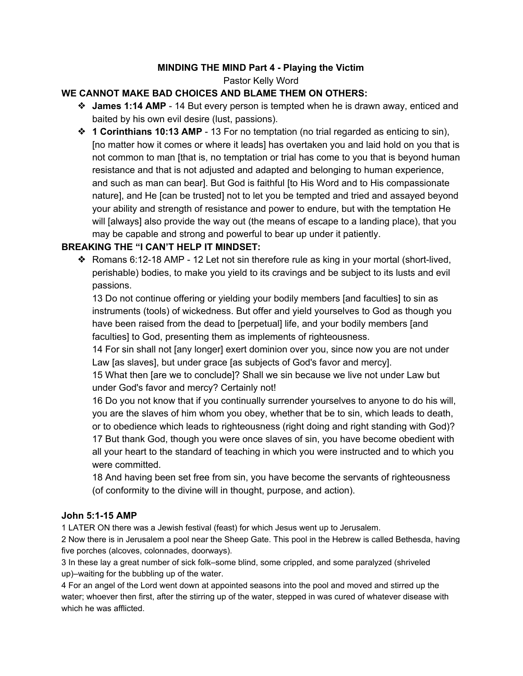# **MINDING THE MIND Part 4 Playing the Victim**

Pastor Kelly Word

### **WE CANNOT MAKE BAD CHOICES AND BLAME THEM ON OTHERS:**

- ❖ **James 1:14 AMP** 14 But every person is tempted when he is drawn away, enticed and baited by his own evil desire (lust, passions).
- ❖ **1 Corinthians 10:13 AMP** 13 For no temptation (no trial regarded as enticing to sin), [no matter how it comes or where it leads] has overtaken you and laid hold on you that is not common to man [that is, no temptation or trial has come to you that is beyond human resistance and that is not adjusted and adapted and belonging to human experience, and such as man can bear]. But God is faithful [to His Word and to His compassionate nature], and He [can be trusted] not to let you be tempted and tried and assayed beyond your ability and strength of resistance and power to endure, but with the temptation He will [always] also provide the way out (the means of escape to a landing place), that you may be capable and strong and powerful to bear up under it patiently.

### **BREAKING THE "I CAN'T HELP IT MINDSET:**

 $\triangle$  Romans 6:12-18 AMP - 12 Let not sin therefore rule as king in your mortal (short-lived, perishable) bodies, to make you yield to its cravings and be subject to its lusts and evil passions.

13 Do not continue offering or yielding your bodily members [and faculties] to sin as instruments (tools) of wickedness. But offer and yield yourselves to God as though you have been raised from the dead to [perpetual] life, and your bodily members [and faculties] to God, presenting them as implements of righteousness.

14 For sin shall not [any longer] exert dominion over you, since now you are not under Law [as slaves], but under grace [as subjects of God's favor and mercy].

15 What then [are we to conclude]? Shall we sin because we live not under Law but under God's favor and mercy? Certainly not!

16 Do you not know that if you continually surrender yourselves to anyone to do his will, you are the slaves of him whom you obey, whether that be to sin, which leads to death, or to obedience which leads to righteousness (right doing and right standing with God)? 17 But thank God, though you were once slaves of sin, you have become obedient with all your heart to the standard of teaching in which you were instructed and to which you were committed.

18 And having been set free from sin, you have become the servants of righteousness (of conformity to the divine will in thought, purpose, and action).

#### **John 5:115 AMP**

1 LATER ON there was a Jewish festival (feast) for which Jesus went up to Jerusalem.

2 Now there is in Jerusalem a pool near the Sheep Gate. This pool in the Hebrew is called Bethesda, having five porches (alcoves, colonnades, doorways).

3 In these lay a great number of sick folk–some blind, some crippled, and some paralyzed (shriveled up)–waiting for the bubbling up of the water.

4 For an angel of the Lord went down at appointed seasons into the pool and moved and stirred up the water; whoever then first, after the stirring up of the water, stepped in was cured of whatever disease with which he was afflicted.